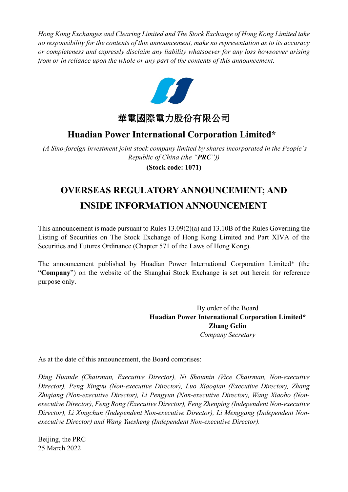*Hong Kong Exchanges and Clearing Limited and The Stock Exchange of Hong Kong Limited take no responsibility for the contents of this announcement, make no representation as to its accuracy or completeness and expressly disclaim any liability whatsoever for any loss howsoever arising from or in reliance upon the whole or any part of the contents of this announcement.*



華電國際電力股份有限公司

### **Huadian Power International Corporation Limited\***

*(A Sino-foreign investment joint stock company limited by shares incorporated in the People's Republic of China (the "PRC"))*

**(Stock code: 1071)**

# **OVERSEAS REGULATORY ANNOUNCEMENT; AND INSIDE INFORMATION ANNOUNCEMENT**

This announcement is made pursuant to Rules 13.09(2)(a) and 13.10B of the Rules Governing the Listing of Securities on The Stock Exchange of Hong Kong Limited and Part XIVA of the Securities and Futures Ordinance (Chapter 571 of the Laws of Hong Kong).

The announcement published by Huadian Power International Corporation Limited\* (the "**Company**") on the website of the Shanghai Stock Exchange is set out herein for reference purpose only.

> By order of the Board **Huadian Power International Corporation Limited\* Zhang Gelin** *Company Secretary*

As at the date of this announcement, the Board comprises:

*Ding Huande (Chairman, Executive Director), Ni Shoumin (Vice Chairman, Non-executive Director), Peng Xingyu (Non-executive Director), Luo Xiaoqian (Executive Director), Zhang Zhiqiang (Non-executive Director), Li Pengyun (Non-executive Director), Wang Xiaobo (Nonexecutive Director), Feng Rong (Executive Director), Feng Zhenping (Independent Non-executive Director), Li Xingchun (Independent Non-executive Director), Li Menggang (Independent Nonexecutive Director) and Wang Yuesheng (Independent Non-executive Director).*

Beijing, the PRC 25 March 2022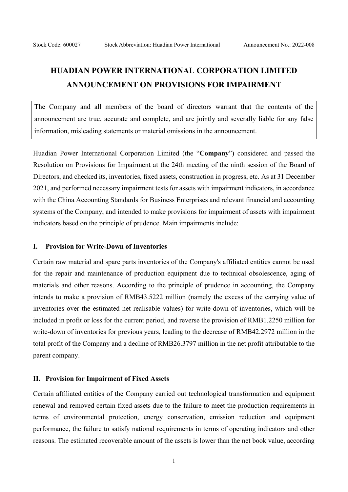## **HUADIAN POWER INTERNATIONAL CORPORATION LIMITED ANNOUNCEMENT ON PROVISIONS FOR IMPAIRMENT**

The Company and all members of the board of directors warrant that the contents of the announcement are true, accurate and complete, and are jointly and severally liable for any false information, misleading statements or material omissions in the announcement.

Huadian Power International Corporation Limited (the "**Company**") considered and passed the Resolution on Provisions for Impairment at the 24th meeting of the ninth session of the Board of Directors, and checked its, inventories, fixed assets, construction in progress, etc. As at 31 December 2021, and performed necessary impairment tests for assets with impairment indicators, in accordance with the China Accounting Standards for Business Enterprises and relevant financial and accounting systems of the Company, and intended to make provisions for impairment of assets with impairment indicators based on the principle of prudence. Main impairments include:

#### **I. Provision for Write-Down of Inventories**

Certain raw material and spare parts inventories of the Company's affiliated entities cannot be used for the repair and maintenance of production equipment due to technical obsolescence, aging of materials and other reasons. According to the principle of prudence in accounting, the Company intends to make a provision of RMB43.5222 million (namely the excess of the carrying value of inventories over the estimated net realisable values) for write-down of inventories, which will be included in profit or loss for the current period, and reverse the provision of RMB1.2250 million for write-down of inventories for previous years, leading to the decrease of RMB42.2972 million in the total profit of the Company and a decline of RMB26.3797 million in the net profit attributable to the parent company.

#### **II. Provision for Impairment of Fixed Assets**

Certain affiliated entities of the Company carried out technological transformation and equipment renewal and removed certain fixed assets due to the failure to meet the production requirements in terms of environmental protection, energy conservation, emission reduction and equipment performance, the failure to satisfy national requirements in terms of operating indicators and other reasons. The estimated recoverable amount of the assets is lower than the net book value, according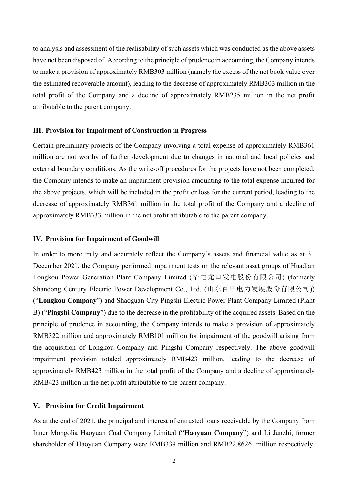to analysis and assessment of the realisability of such assets which was conducted as the above assets have not been disposed of. According to the principle of prudence in accounting, the Company intends to make a provision of approximately RMB303 million (namely the excess of the net book value over the estimated recoverable amount), leading to the decrease of approximately RMB303 million in the total profit of the Company and a decline of approximately RMB235 million in the net profit attributable to the parent company.

#### **III. Provision for Impairment of Construction in Progress**

Certain preliminary projects of the Company involving a total expense of approximately RMB361 million are not worthy of further development due to changes in national and local policies and external boundary conditions. As the write-off procedures for the projects have not been completed, the Company intends to make an impairment provision amounting to the total expense incurred for the above projects, which will be included in the profit or loss for the current period, leading to the decrease of approximately RMB361 million in the total profit of the Company and a decline of approximately RMB333 million in the net profit attributable to the parent company.

#### **IV. Provision for Impairment of Goodwill**

In order to more truly and accurately reflect the Company's assets and financial value as at 31 December 2021, the Company performed impairment tests on the relevant asset groups of Huadian Longkou Power Generation Plant Company Limited (华电龙口发电股份有限公司) (formerly Shandong Century Electric Power Development Co., Ltd. (山东百年电力发展股份有限公司)) ("**Longkou Company**") and Shaoguan City Pingshi Electric Power Plant Company Limited (Plant B) ("**Pingshi Company**") due to the decrease in the profitability of the acquired assets. Based on the principle of prudence in accounting, the Company intends to make a provision of approximately RMB322 million and approximately RMB101 million for impairment of the goodwill arising from the acquisition of Longkou Company and Pingshi Company respectively. The above goodwill impairment provision totaled approximately RMB423 million, leading to the decrease of approximately RMB423 million in the total profit of the Company and a decline of approximately RMB423 million in the net profit attributable to the parent company.

#### **V. Provision for Credit Impairment**

As at the end of 2021, the principal and interest of entrusted loans receivable by the Company from Inner Mongolia Haoyuan Coal Company Limited ("**Haoyuan Company**") and Li Junzhi, former shareholder of Haoyuan Company were RMB339 million and RMB22.8626 million respectively.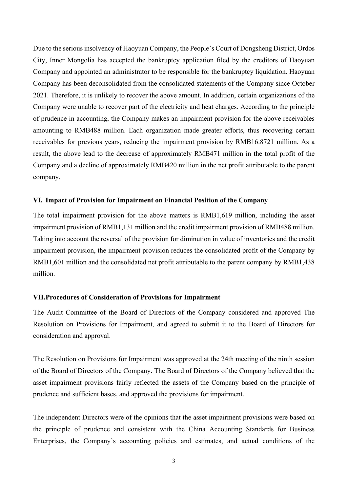Due to the serious insolvency of Haoyuan Company, the People's Court of Dongsheng District, Ordos City, Inner Mongolia has accepted the bankruptcy application filed by the creditors of Haoyuan Company and appointed an administrator to be responsible for the bankruptcy liquidation. Haoyuan Company has been deconsolidated from the consolidated statements of the Company since October 2021. Therefore, it is unlikely to recover the above amount. In addition, certain organizations of the Company were unable to recover part of the electricity and heat charges. According to the principle of prudence in accounting, the Company makes an impairment provision for the above receivables amounting to RMB488 million. Each organization made greater efforts, thus recovering certain receivables for previous years, reducing the impairment provision by RMB16.8721 million. As a result, the above lead to the decrease of approximately RMB471 million in the total profit of the Company and a decline of approximately RMB420 million in the net profit attributable to the parent company.

#### **VI. Impact of Provision for Impairment on Financial Position of the Company**

The total impairment provision for the above matters is RMB1,619 million, including the asset impairment provision of RMB1,131 million and the credit impairment provision of RMB488 million. Taking into account the reversal of the provision for diminution in value of inventories and the credit impairment provision, the impairment provision reduces the consolidated profit of the Company by RMB1,601 million and the consolidated net profit attributable to the parent company by RMB1,438 million.

#### **VII.Procedures of Consideration of Provisions for Impairment**

The Audit Committee of the Board of Directors of the Company considered and approved The Resolution on Provisions for Impairment, and agreed to submit it to the Board of Directors for consideration and approval.

The Resolution on Provisions for Impairment was approved at the 24th meeting of the ninth session of the Board of Directors of the Company. The Board of Directors of the Company believed that the asset impairment provisions fairly reflected the assets of the Company based on the principle of prudence and sufficient bases, and approved the provisions for impairment.

The independent Directors were of the opinions that the asset impairment provisions were based on the principle of prudence and consistent with the China Accounting Standards for Business Enterprises, the Company's accounting policies and estimates, and actual conditions of the